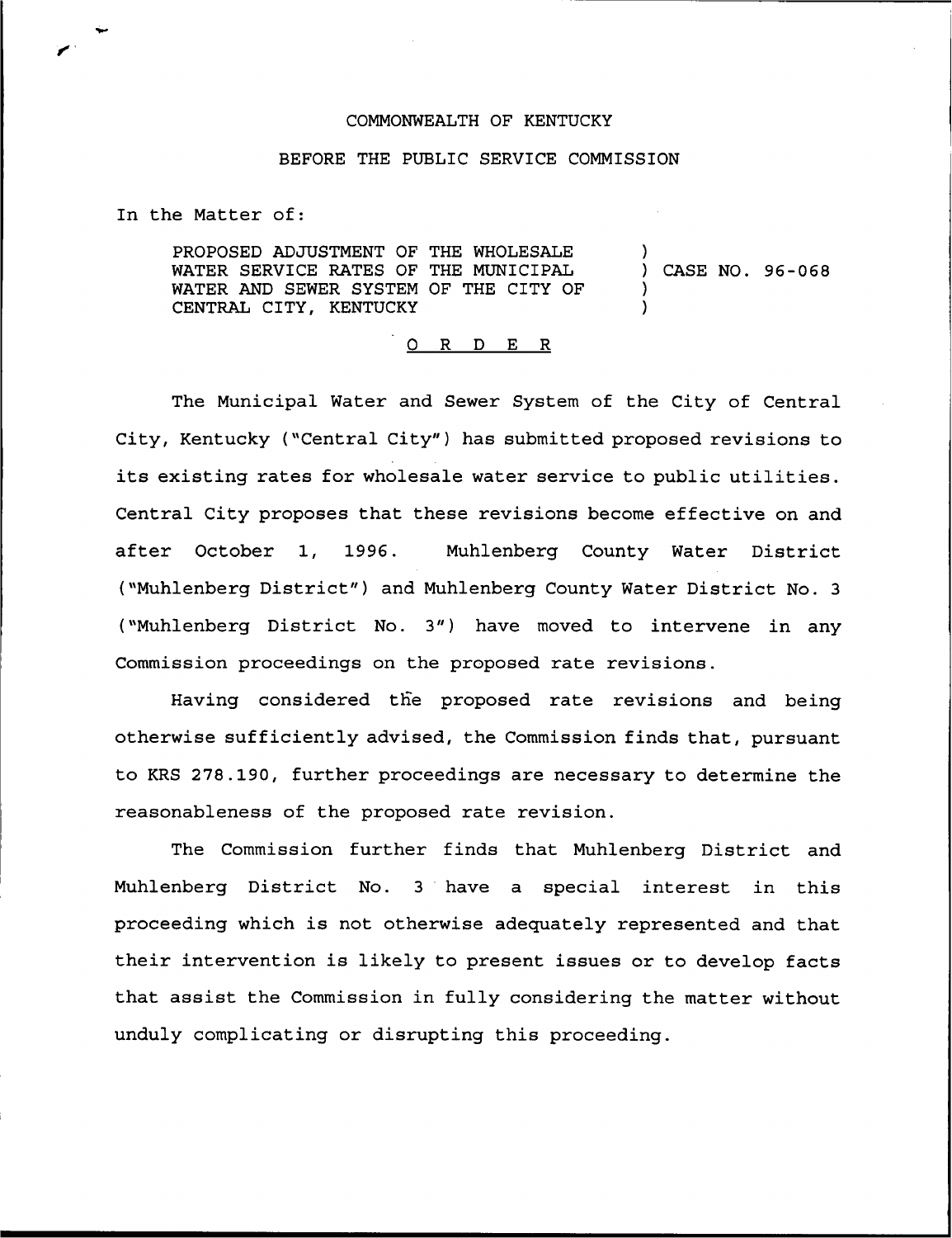## COMMONWEALTH OF KENTUCKY

## BEFORE THE PUBLIC SERVICE COMMISSION

In the Matter of:

PROPOSED ADJUSTMENT OF THE WHOLESALE WATER SERVICE RATES OF THE MUNICIPAL WATER AND SEWER SYSTEM OF THE CITY OF CENTRAL CITY, KENTUCKY ) ) CASE NO. 96-068 )  $\lambda$ 

## 0 R <sup>D</sup> E R

The Municipal Water and Sewer System of the City of Central City, Kentucky ("Central City" ) has submitted proposed revisions to its existing rates for wholesale water service to public utilities. Central City proposes that these revisions become effective on and after October 1, 1996. Muhlenberg County Water District ("Muhlenberg District" ) and Muhlenberg County Water District No. <sup>3</sup> ("Muhlenberg District No. 3") have moved to intervene in any Commission proceedings on the proposed rate revisions.

Having considered the proposed rate revisions and being otherwise sufficiently advised, the Commission finds that, pursuant to KRS 278.190, further proceedings are necessary to determine the reasonableness of the pxoposed rate revision.

The Commission further finds that Muhlenberg District and Muhlenberg District No. <sup>3</sup> have a special interest in this proceeding which is not otherwise adequately represented and that their intervention is likely to present issues or to develop facts that assist the Commission in fully considering the matter without unduly complicating or disrupting this proceeding.